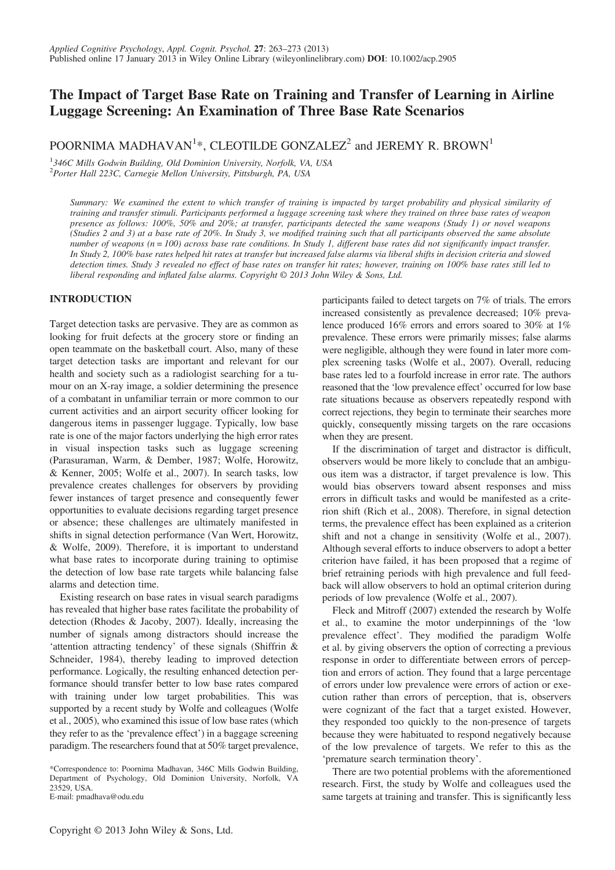# The Impact of Target Base Rate on Training and Transfer of Learning in Airline Luggage Screening: An Examination of Three Base Rate Scenarios

# POORNIMA MADHAVAN<sup>1</sup>\*, CLEOTILDE GONZALEZ<sup>2</sup> and JEREMY R. BROWN<sup>1</sup>

<sup>1</sup>346C Mills Godwin Building, Old Dominion University, Norfolk, VA, USA 2 Porter Hall 223C, Carnegie Mellon University, Pittsburgh, PA, USA

Summary: We examined the extent to which transfer of training is impacted by target probability and physical similarity of training and transfer stimuli. Participants performed a luggage screening task where they trained on three base rates of weapon presence as follows: 100%, 50% and 20%; at transfer, participants detected the same weapons (Study 1) or novel weapons (Studies 2 and 3) at a base rate of 20%. In Study 3, we modified training such that all participants observed the same absolute number of weapons (n = 100) across base rate conditions. In Study 1, different base rates did not significantly impact transfer. In Study 2, 100% base rates helped hit rates at transfer but increased false alarms via liberal shifts in decision criteria and slowed detection times. Study 3 revealed no effect of base rates on transfer hit rates; however, training on 100% base rates still led to liberal responding and inflated false alarms. Copyright © 2013 John Wiley & Sons, Ltd.

# INTRODUCTION

Target detection tasks are pervasive. They are as common as looking for fruit defects at the grocery store or finding an open teammate on the basketball court. Also, many of these target detection tasks are important and relevant for our health and society such as a radiologist searching for a tumour on an X-ray image, a soldier determining the presence of a combatant in unfamiliar terrain or more common to our current activities and an airport security officer looking for dangerous items in passenger luggage. Typically, low base rate is one of the major factors underlying the high error rates in visual inspection tasks such as luggage screening (Parasuraman, Warm, & Dember, 1987; Wolfe, Horowitz, & Kenner, 2005; Wolfe et al., 2007). In search tasks, low prevalence creates challenges for observers by providing fewer instances of target presence and consequently fewer opportunities to evaluate decisions regarding target presence or absence; these challenges are ultimately manifested in shifts in signal detection performance (Van Wert, Horowitz, & Wolfe, 2009). Therefore, it is important to understand what base rates to incorporate during training to optimise the detection of low base rate targets while balancing false alarms and detection time.

Existing research on base rates in visual search paradigms has revealed that higher base rates facilitate the probability of detection (Rhodes & Jacoby, 2007). Ideally, increasing the number of signals among distractors should increase the 'attention attracting tendency' of these signals (Shiffrin & Schneider, 1984), thereby leading to improved detection performance. Logically, the resulting enhanced detection performance should transfer better to low base rates compared with training under low target probabilities. This was supported by a recent study by Wolfe and colleagues (Wolfe et al., 2005), who examined this issue of low base rates (which they refer to as the 'prevalence effect') in a baggage screening paradigm. The researchers found that at 50% target prevalence,

\*Correspondence to: Poornima Madhavan, 346C Mills Godwin Building, Department of Psychology, Old Dominion University, Norfolk, VA 23529, USA. E-mail: pmadhava@odu.edu

participants failed to detect targets on 7% of trials. The errors increased consistently as prevalence decreased; 10% prevalence produced 16% errors and errors soared to 30% at 1% prevalence. These errors were primarily misses; false alarms were negligible, although they were found in later more complex screening tasks (Wolfe et al., 2007). Overall, reducing base rates led to a fourfold increase in error rate. The authors reasoned that the 'low prevalence effect' occurred for low base rate situations because as observers repeatedly respond with correct rejections, they begin to terminate their searches more quickly, consequently missing targets on the rare occasions when they are present.

If the discrimination of target and distractor is difficult, observers would be more likely to conclude that an ambiguous item was a distractor, if target prevalence is low. This would bias observers toward absent responses and miss errors in difficult tasks and would be manifested as a criterion shift (Rich et al., 2008). Therefore, in signal detection terms, the prevalence effect has been explained as a criterion shift and not a change in sensitivity (Wolfe et al., 2007). Although several efforts to induce observers to adopt a better criterion have failed, it has been proposed that a regime of brief retraining periods with high prevalence and full feedback will allow observers to hold an optimal criterion during periods of low prevalence (Wolfe et al., 2007).

Fleck and Mitroff (2007) extended the research by Wolfe et al., to examine the motor underpinnings of the 'low prevalence effect'. They modified the paradigm Wolfe et al. by giving observers the option of correcting a previous response in order to differentiate between errors of perception and errors of action. They found that a large percentage of errors under low prevalence were errors of action or execution rather than errors of perception, that is, observers were cognizant of the fact that a target existed. However, they responded too quickly to the non-presence of targets because they were habituated to respond negatively because of the low prevalence of targets. We refer to this as the 'premature search termination theory'.

There are two potential problems with the aforementioned research. First, the study by Wolfe and colleagues used the same targets at training and transfer. This is significantly less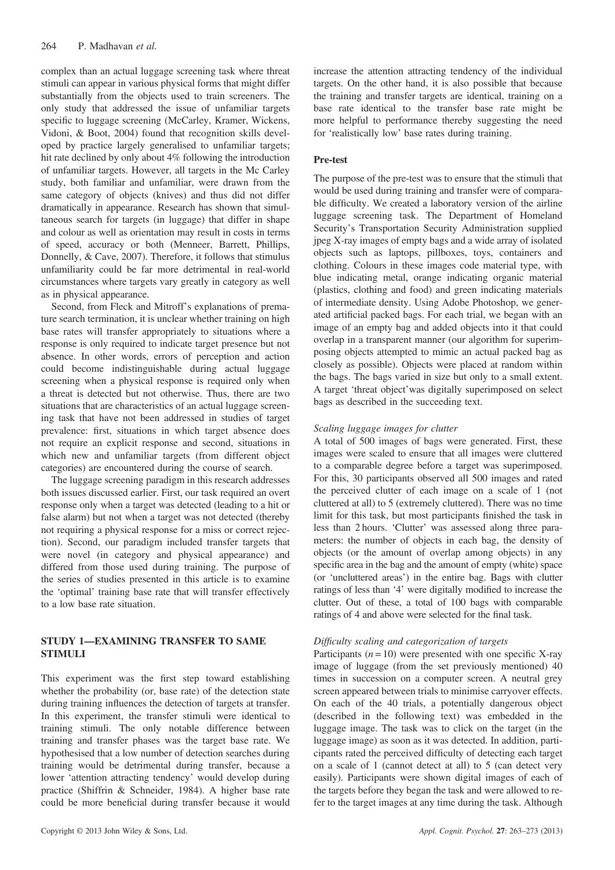complex than an actual luggage screening task where threat stimuli can appear in various physical forms that might differ substantially from the objects used to train screeners. The only study that addressed the issue of unfamiliar targets specific to luggage screening (McCarley, Kramer, Wickens, Vidoni, & Boot, 2004) found that recognition skills developed by practice largely generalised to unfamiliar targets; hit rate declined by only about 4% following the introduction of unfamiliar targets. However, all targets in the Mc Carley study, both familiar and unfamiliar, were drawn from the same category of objects (knives) and thus did not differ dramatically in appearance. Research has shown that simultaneous search for targets (in luggage) that differ in shape and colour as well as orientation may result in costs in terms of speed, accuracy or both (Menneer, Barrett, Phillips, Donnelly, & Cave, 2007). Therefore, it follows that stimulus unfamiliarity could be far more detrimental in real-world circumstances where targets vary greatly in category as well as in physical appearance.

Second, from Fleck and Mitroff's explanations of premature search termination, it is unclear whether training on high base rates will transfer appropriately to situations where a response is only required to indicate target presence but not absence. In other words, errors of perception and action could become indistinguishable during actual luggage screening when a physical response is required only when a threat is detected but not otherwise. Thus, there are two situations that are characteristics of an actual luggage screening task that have not been addressed in studies of target prevalence: first, situations in which target absence does not require an explicit response and second, situations in which new and unfamiliar targets (from different object categories) are encountered during the course of search.

The luggage screening paradigm in this research addresses both issues discussed earlier. First, our task required an overt response only when a target was detected (leading to a hit or false alarm) but not when a target was not detected (thereby not requiring a physical response for a miss or correct rejection). Second, our paradigm included transfer targets that were novel (in category and physical appearance) and differed from those used during training. The purpose of the series of studies presented in this article is to examine the 'optimal' training base rate that will transfer effectively to a low base rate situation.

# STUDY 1—EXAMINING TRANSFER TO SAME STIMULI

This experiment was the first step toward establishing whether the probability (or, base rate) of the detection state during training influences the detection of targets at transfer. In this experiment, the transfer stimuli were identical to training stimuli. The only notable difference between training and transfer phases was the target base rate. We hypothesised that a low number of detection searches during training would be detrimental during transfer, because a lower 'attention attracting tendency' would develop during practice (Shiffrin & Schneider, 1984). A higher base rate could be more beneficial during transfer because it would increase the attention attracting tendency of the individual targets. On the other hand, it is also possible that because the training and transfer targets are identical, training on a base rate identical to the transfer base rate might be more helpful to performance thereby suggesting the need for 'realistically low' base rates during training.

# Pre-test

The purpose of the pre-test was to ensure that the stimuli that would be used during training and transfer were of comparable difficulty. We created a laboratory version of the airline luggage screening task. The Department of Homeland Security's Transportation Security Administration supplied jpeg X-ray images of empty bags and a wide array of isolated objects such as laptops, pillboxes, toys, containers and clothing. Colours in these images code material type, with blue indicating metal, orange indicating organic material (plastics, clothing and food) and green indicating materials of intermediate density. Using Adobe Photoshop, we generated artificial packed bags. For each trial, we began with an image of an empty bag and added objects into it that could overlap in a transparent manner (our algorithm for superimposing objects attempted to mimic an actual packed bag as closely as possible). Objects were placed at random within the bags. The bags varied in size but only to a small extent. A target 'threat object'was digitally superimposed on select bags as described in the succeeding text.

# Scaling luggage images for clutter

A total of 500 images of bags were generated. First, these images were scaled to ensure that all images were cluttered to a comparable degree before a target was superimposed. For this, 30 participants observed all 500 images and rated the perceived clutter of each image on a scale of 1 (not cluttered at all) to 5 (extremely cluttered). There was no time limit for this task, but most participants finished the task in less than 2 hours. 'Clutter' was assessed along three parameters: the number of objects in each bag, the density of objects (or the amount of overlap among objects) in any specific area in the bag and the amount of empty (white) space (or 'uncluttered areas') in the entire bag. Bags with clutter ratings of less than '4' were digitally modified to increase the clutter. Out of these, a total of 100 bags with comparable ratings of 4 and above were selected for the final task.

# Difficulty scaling and categorization of targets

Participants  $(n = 10)$  were presented with one specific X-ray image of luggage (from the set previously mentioned) 40 times in succession on a computer screen. A neutral grey screen appeared between trials to minimise carryover effects. On each of the 40 trials, a potentially dangerous object (described in the following text) was embedded in the luggage image. The task was to click on the target (in the luggage image) as soon as it was detected. In addition, participants rated the perceived difficulty of detecting each target on a scale of 1 (cannot detect at all) to 5 (can detect very easily). Participants were shown digital images of each of the targets before they began the task and were allowed to refer to the target images at any time during the task. Although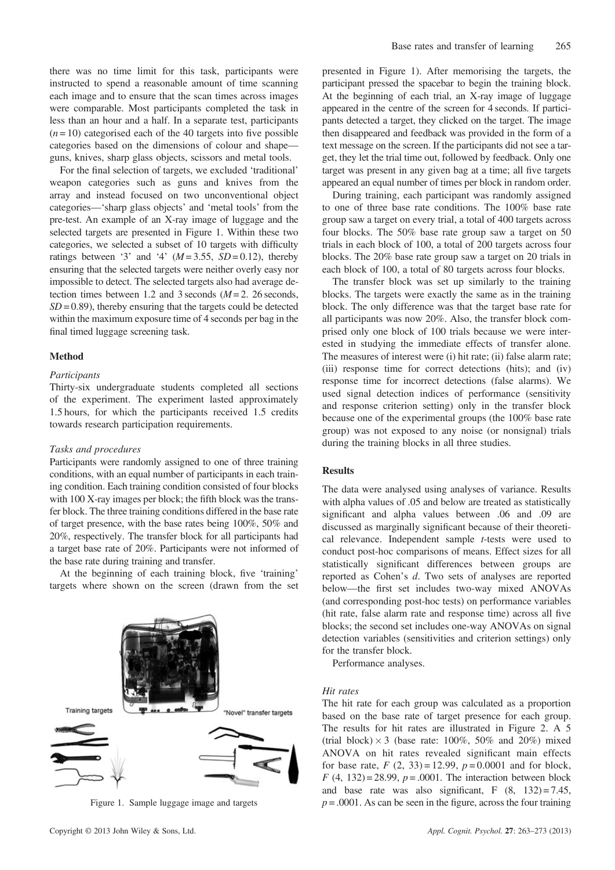there was no time limit for this task, participants were instructed to spend a reasonable amount of time scanning each image and to ensure that the scan times across images were comparable. Most participants completed the task in less than an hour and a half. In a separate test, participants  $(n=10)$  categorised each of the 40 targets into five possible categories based on the dimensions of colour and shape guns, knives, sharp glass objects, scissors and metal tools.

For the final selection of targets, we excluded 'traditional' weapon categories such as guns and knives from the array and instead focused on two unconventional object categories—'sharp glass objects' and 'metal tools' from the pre-test. An example of an X-ray image of luggage and the selected targets are presented in Figure 1. Within these two categories, we selected a subset of 10 targets with difficulty ratings between '3' and '4'  $(M=3.55, SD=0.12)$ , thereby ensuring that the selected targets were neither overly easy nor impossible to detect. The selected targets also had average detection times between 1.2 and 3 seconds  $(M=2, 26$  seconds,  $SD = 0.89$ , thereby ensuring that the targets could be detected within the maximum exposure time of 4 seconds per bag in the final timed luggage screening task.

#### Method

#### Participants

Thirty-six undergraduate students completed all sections of the experiment. The experiment lasted approximately 1.5 hours, for which the participants received 1.5 credits towards research participation requirements.

#### Tasks and procedures

Participants were randomly assigned to one of three training conditions, with an equal number of participants in each training condition. Each training condition consisted of four blocks with 100 X-ray images per block; the fifth block was the transfer block. The three training conditions differed in the base rate of target presence, with the base rates being 100%, 50% and 20%, respectively. The transfer block for all participants had a target base rate of 20%. Participants were not informed of the base rate during training and transfer.

At the beginning of each training block, five 'training' targets where shown on the screen (drawn from the set



presented in Figure 1). After memorising the targets, the participant pressed the spacebar to begin the training block. At the beginning of each trial, an X-ray image of luggage appeared in the centre of the screen for 4 seconds. If participants detected a target, they clicked on the target. The image then disappeared and feedback was provided in the form of a text message on the screen. If the participants did not see a target, they let the trial time out, followed by feedback. Only one target was present in any given bag at a time; all five targets appeared an equal number of times per block in random order.

During training, each participant was randomly assigned to one of three base rate conditions. The 100% base rate group saw a target on every trial, a total of 400 targets across four blocks. The 50% base rate group saw a target on 50 trials in each block of 100, a total of 200 targets across four blocks. The 20% base rate group saw a target on 20 trials in each block of 100, a total of 80 targets across four blocks.

The transfer block was set up similarly to the training blocks. The targets were exactly the same as in the training block. The only difference was that the target base rate for all participants was now 20%. Also, the transfer block comprised only one block of 100 trials because we were interested in studying the immediate effects of transfer alone. The measures of interest were (i) hit rate; (ii) false alarm rate; (iii) response time for correct detections (hits); and (iv) response time for incorrect detections (false alarms). We used signal detection indices of performance (sensitivity and response criterion setting) only in the transfer block because one of the experimental groups (the 100% base rate group) was not exposed to any noise (or nonsignal) trials during the training blocks in all three studies.

# Results

The data were analysed using analyses of variance. Results with alpha values of .05 and below are treated as statistically significant and alpha values between .06 and .09 are discussed as marginally significant because of their theoretical relevance. Independent sample t-tests were used to conduct post-hoc comparisons of means. Effect sizes for all statistically significant differences between groups are reported as Cohen's d. Two sets of analyses are reported below—the first set includes two-way mixed ANOVAs (and corresponding post-hoc tests) on performance variables (hit rate, false alarm rate and response time) across all five blocks; the second set includes one-way ANOVAs on signal detection variables (sensitivities and criterion settings) only for the transfer block.

Performance analyses.

#### Hit rates

The hit rate for each group was calculated as a proportion based on the base rate of target presence for each group. The results for hit rates are illustrated in Figure 2. A 5 (trial block)  $\times$  3 (base rate: 100%, 50% and 20%) mixed ANOVA on hit rates revealed significant main effects for base rate,  $F(2, 33) = 12.99$ ,  $p = 0.0001$  and for block,  $F(4, 132) = 28.99$ ,  $p = .0001$ . The interaction between block and base rate was also significant, F  $(8, 132) = 7.45$ , Figure 1. Sample luggage image and targets  $p = .0001$ . As can be seen in the figure, across the four training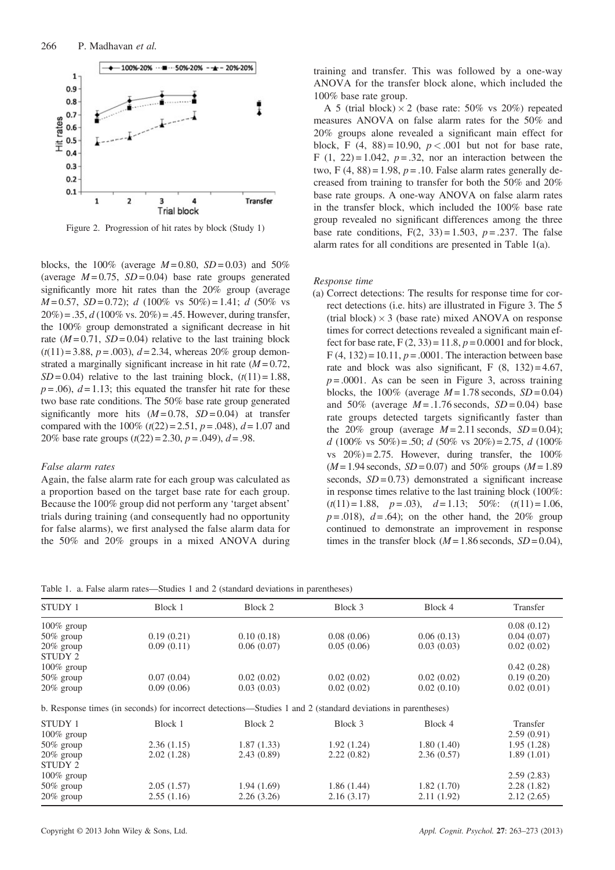

Figure 2. Progression of hit rates by block (Study 1)

blocks, the 100% (average  $M = 0.80$ ,  $SD = 0.03$ ) and 50% (average  $M = 0.75$ ,  $SD = 0.04$ ) base rate groups generated significantly more hit rates than the 20% group (average  $M = 0.57$ ,  $SD = 0.72$ ; d (100% vs 50%) = 1.41; d (50% vs  $20\%) = .35, d (100\% \text{ vs. } 20\%) = .45.$  However, during transfer, the 100% group demonstrated a significant decrease in hit rate  $(M=0.71, SD=0.04)$  relative to the last training block  $(t(11)=3.88, p=.003), d=2.34$ , whereas 20% group demonstrated a marginally significant increase in hit rate  $(M = 0.72)$ ,  $SD = 0.04$ ) relative to the last training block,  $(t(11) = 1.88$ ,  $p = .06$ ,  $d = 1.13$ ; this equated the transfer hit rate for these two base rate conditions. The 50% base rate group generated significantly more hits  $(M=0.78, SD=0.04)$  at transfer compared with the  $100\%$  (t(22) = 2.51, p = .048), d = 1.07 and 20% base rate groups  $(t(22) = 2.30, p = .049)$ ,  $d = .98$ .

#### False alarm rates

Again, the false alarm rate for each group was calculated as a proportion based on the target base rate for each group. Because the 100% group did not perform any 'target absent' trials during training (and consequently had no opportunity for false alarms), we first analysed the false alarm data for the 50% and 20% groups in a mixed ANOVA during training and transfer. This was followed by a one-way ANOVA for the transfer block alone, which included the 100% base rate group.

A 5 (trial block)  $\times$  2 (base rate: 50% vs 20%) repeated measures ANOVA on false alarm rates for the 50% and 20% groups alone revealed a significant main effect for block, F (4, 88) = 10.90,  $p < .001$  but not for base rate, F (1, 22) = 1.042,  $p = 0.32$ , nor an interaction between the two, F  $(4, 88) = 1.98$ ,  $p = .10$ . False alarm rates generally decreased from training to transfer for both the 50% and 20% base rate groups. A one-way ANOVA on false alarm rates in the transfer block, which included the 100% base rate group revealed no significant differences among the three base rate conditions,  $F(2, 33) = 1.503$ ,  $p = .237$ . The false alarm rates for all conditions are presented in Table 1(a).

#### Response time

(a) Correct detections: The results for response time for correct detections (i.e. hits) are illustrated in Figure 3. The 5 (trial block)  $\times$  3 (base rate) mixed ANOVA on response times for correct detections revealed a significant main effect for base rate,  $F(2, 33) = 11.8$ ,  $p = 0.0001$  and for block,  $F(4, 132) = 10.11$ ,  $p = .0001$ . The interaction between base rate and block was also significant,  $F(8, 132)=4.67$ ,  $p = .0001$ . As can be seen in Figure 3, across training blocks, the 100% (average  $M = 1.78$  seconds,  $SD = 0.04$ ) and 50% (average  $M = 0.1.76$  seconds,  $SD = 0.04$ ) base rate groups detected targets significantly faster than the 20% group (average  $M = 2.11$  seconds,  $SD = 0.04$ ); d (100% vs 50%) = .50; d (50% vs 20%) = 2.75, d (100%) vs  $20\%) = 2.75$ . However, during transfer, the  $100\%$  $(M = 1.94$  seconds,  $SD = 0.07$ ) and 50% groups  $(M = 1.89$ seconds,  $SD = 0.73$ ) demonstrated a significant increase in response times relative to the last training block (100%:  $(t(11) = 1.88, p = .03), d = 1.13; 50\%; (t(11) = 1.06,$  $p = .018$ ,  $d = .64$ ; on the other hand, the 20% group continued to demonstrate an improvement in response times in the transfer block ( $M = 1.86$  seconds,  $SD = 0.04$ ),

| Table 1. a. False alarm rates—Studies 1 and 2 (standard deviations in parentheses) |  |  |
|------------------------------------------------------------------------------------|--|--|
|------------------------------------------------------------------------------------|--|--|

| <b>STUDY 1</b>                  | Block 1                                                                                                      | Block 2    | Block 3    | Block 4    | Transfer               |
|---------------------------------|--------------------------------------------------------------------------------------------------------------|------------|------------|------------|------------------------|
| $100\%$ group                   |                                                                                                              |            |            |            | 0.08(0.12)             |
| $50\%$ group                    | 0.19(0.21)                                                                                                   | 0.10(0.18) | 0.08(0.06) | 0.06(0.13) | 0.04(0.07)             |
| $20\%$ group<br>STUDY 2         | 0.09(0.11)                                                                                                   | 0.06(0.07) | 0.05(0.06) | 0.03(0.03) | 0.02(0.02)             |
| $100\%$ group                   |                                                                                                              |            |            |            | 0.42(0.28)             |
| $50\%$ group                    | 0.07(0.04)                                                                                                   | 0.02(0.02) | 0.02(0.02) | 0.02(0.02) | 0.19(0.20)             |
| $20\%$ group                    | 0.09(0.06)                                                                                                   | 0.03(0.03) | 0.02(0.02) | 0.02(0.10) | 0.02(0.01)             |
|                                 | b. Response times (in seconds) for incorrect detections—Studies 1 and 2 (standard deviations in parentheses) |            |            |            |                        |
| <b>STUDY 1</b><br>$100\%$ group | Block 1                                                                                                      | Block 2    | Block 3    | Block 4    | Transfer<br>2.59(0.91) |
| 50% group                       | 2.36(1.15)                                                                                                   | 1.87(1.33) | 1.92(1.24) | 1.80(1.40) | 1.95(1.28)             |
| $20\%$ group                    | 2.02(1.28)                                                                                                   | 2.43(0.89) | 2.22(0.82) | 2.36(0.57) | 1.89(1.01)             |
| STUDY 2                         |                                                                                                              |            |            |            |                        |
| 100% group                      |                                                                                                              |            |            |            | 2.59(2.83)             |
| $50\%$ group                    | 2.05(1.57)                                                                                                   | 1.94(1.69) | 1.86(1.44) | 1.82(1.70) | 2.28(1.82)             |
| $20\%$ group                    | 2.55(1.16)                                                                                                   | 2.26(3.26) | 2.16(3.17) | 2.11(1.92) | 2.12(2.65)             |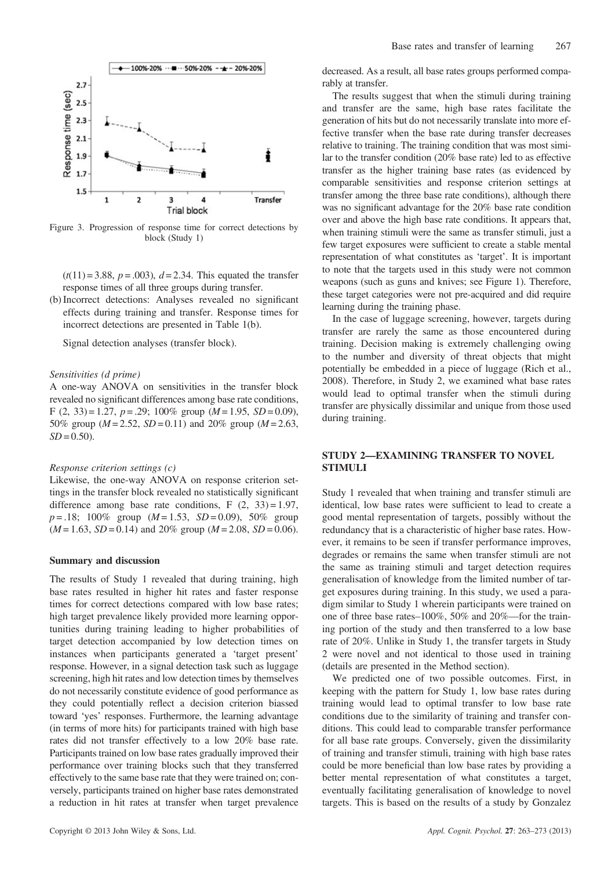

Figure 3. Progression of response time for correct detections by block (Study 1)

 $(t(11) = 3.88, p = .003), d = 2.34$ . This equated the transfer response times of all three groups during transfer.

(b) Incorrect detections: Analyses revealed no significant effects during training and transfer. Response times for incorrect detections are presented in Table 1(b).

Signal detection analyses (transfer block).

#### Sensitivities (d prime)

A one-way ANOVA on sensitivities in the transfer block revealed no significant differences among base rate conditions, F (2, 33) = 1.27,  $p = .29$ ; 100% group ( $M = 1.95$ ,  $SD = 0.09$ ), 50% group ( $M = 2.52$ ,  $SD = 0.11$ ) and 20% group ( $M = 2.63$ ,  $SD = 0.50$ ).

#### Response criterion settings (c)

Likewise, the one-way ANOVA on response criterion settings in the transfer block revealed no statistically significant difference among base rate conditions,  $F(2, 33) = 1.97$ ,  $p = .18; 100\%$  group  $(M = 1.53, SD = 0.09)$ , 50% group  $(M = 1.63, SD = 0.14)$  and 20% group  $(M = 2.08, SD = 0.06)$ .

#### Summary and discussion

The results of Study 1 revealed that during training, high base rates resulted in higher hit rates and faster response times for correct detections compared with low base rates; high target prevalence likely provided more learning opportunities during training leading to higher probabilities of target detection accompanied by low detection times on instances when participants generated a 'target present' response. However, in a signal detection task such as luggage screening, high hit rates and low detection times by themselves do not necessarily constitute evidence of good performance as they could potentially reflect a decision criterion biassed toward 'yes' responses. Furthermore, the learning advantage (in terms of more hits) for participants trained with high base rates did not transfer effectively to a low 20% base rate. Participants trained on low base rates gradually improved their performance over training blocks such that they transferred effectively to the same base rate that they were trained on; conversely, participants trained on higher base rates demonstrated a reduction in hit rates at transfer when target prevalence decreased. As a result, all base rates groups performed comparably at transfer.

The results suggest that when the stimuli during training and transfer are the same, high base rates facilitate the generation of hits but do not necessarily translate into more effective transfer when the base rate during transfer decreases relative to training. The training condition that was most similar to the transfer condition (20% base rate) led to as effective transfer as the higher training base rates (as evidenced by comparable sensitivities and response criterion settings at transfer among the three base rate conditions), although there was no significant advantage for the 20% base rate condition over and above the high base rate conditions. It appears that, when training stimuli were the same as transfer stimuli, just a few target exposures were sufficient to create a stable mental representation of what constitutes as 'target'. It is important to note that the targets used in this study were not common weapons (such as guns and knives; see Figure 1). Therefore, these target categories were not pre-acquired and did require learning during the training phase.

In the case of luggage screening, however, targets during transfer are rarely the same as those encountered during training. Decision making is extremely challenging owing to the number and diversity of threat objects that might potentially be embedded in a piece of luggage (Rich et al., 2008). Therefore, in Study 2, we examined what base rates would lead to optimal transfer when the stimuli during transfer are physically dissimilar and unique from those used during training.

## STUDY 2—EXAMINING TRANSFER TO NOVEL STIMULI

Study 1 revealed that when training and transfer stimuli are identical, low base rates were sufficient to lead to create a good mental representation of targets, possibly without the redundancy that is a characteristic of higher base rates. However, it remains to be seen if transfer performance improves, degrades or remains the same when transfer stimuli are not the same as training stimuli and target detection requires generalisation of knowledge from the limited number of target exposures during training. In this study, we used a paradigm similar to Study 1 wherein participants were trained on one of three base rates–100%, 50% and 20%—for the training portion of the study and then transferred to a low base rate of 20%. Unlike in Study 1, the transfer targets in Study 2 were novel and not identical to those used in training (details are presented in the Method section).

We predicted one of two possible outcomes. First, in keeping with the pattern for Study 1, low base rates during training would lead to optimal transfer to low base rate conditions due to the similarity of training and transfer conditions. This could lead to comparable transfer performance for all base rate groups. Conversely, given the dissimilarity of training and transfer stimuli, training with high base rates could be more beneficial than low base rates by providing a better mental representation of what constitutes a target, eventually facilitating generalisation of knowledge to novel targets. This is based on the results of a study by Gonzalez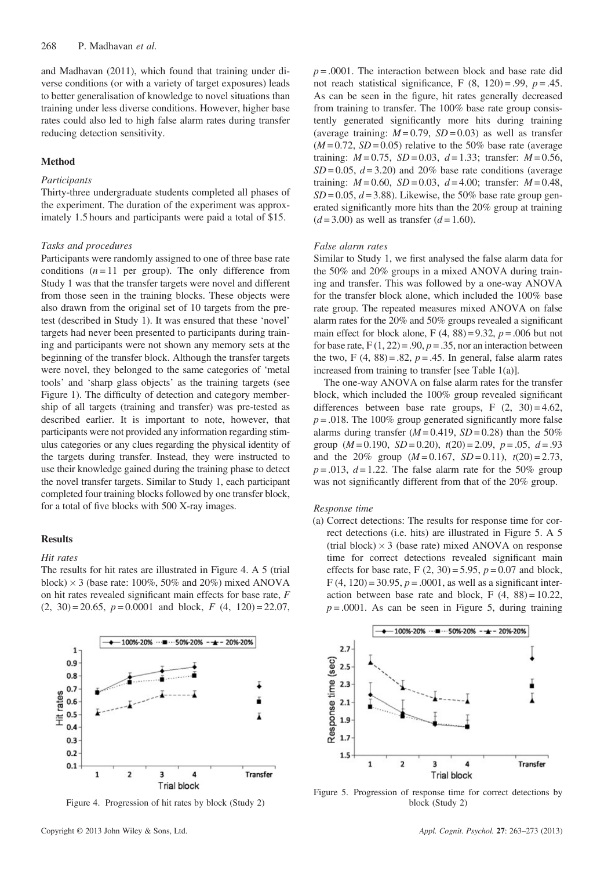and Madhavan (2011), which found that training under diverse conditions (or with a variety of target exposures) leads to better generalisation of knowledge to novel situations than training under less diverse conditions. However, higher base rates could also led to high false alarm rates during transfer reducing detection sensitivity.

#### Method

#### **Participants**

Thirty-three undergraduate students completed all phases of the experiment. The duration of the experiment was approximately 1.5 hours and participants were paid a total of \$15.

#### Tasks and procedures

Participants were randomly assigned to one of three base rate conditions  $(n = 11$  per group). The only difference from Study 1 was that the transfer targets were novel and different from those seen in the training blocks. These objects were also drawn from the original set of 10 targets from the pretest (described in Study 1). It was ensured that these 'novel' targets had never been presented to participants during training and participants were not shown any memory sets at the beginning of the transfer block. Although the transfer targets were novel, they belonged to the same categories of 'metal tools' and 'sharp glass objects' as the training targets (see Figure 1). The difficulty of detection and category membership of all targets (training and transfer) was pre-tested as described earlier. It is important to note, however, that participants were not provided any information regarding stimulus categories or any clues regarding the physical identity of the targets during transfer. Instead, they were instructed to use their knowledge gained during the training phase to detect the novel transfer targets. Similar to Study 1, each participant completed four training blocks followed by one transfer block, for a total of five blocks with 500 X-ray images.

#### **Results**

#### Hit rates

The results for hit rates are illustrated in Figure 4. A 5 (trial block)  $\times$  3 (base rate: 100%, 50% and 20%) mixed ANOVA on hit rates revealed significant main effects for base rate, F  $(2, 30) = 20.65$ ,  $p = 0.0001$  and block,  $F(4, 120) = 22.07$ ,



Figure 4. Progression of hit rates by block (Study 2)

 $p = .0001$ . The interaction between block and base rate did not reach statistical significance, F  $(8, 120) = .99$ ,  $p = .45$ . As can be seen in the figure, hit rates generally decreased from training to transfer. The 100% base rate group consistently generated significantly more hits during training (average training:  $M = 0.79$ ,  $SD = 0.03$ ) as well as transfer  $(M = 0.72, SD = 0.05)$  relative to the 50% base rate (average training:  $M = 0.75$ ,  $SD = 0.03$ ,  $d = 1.33$ ; transfer:  $M = 0.56$ ,  $SD = 0.05$ ,  $d = 3.20$ ) and 20% base rate conditions (average training:  $M = 0.60$ ,  $SD = 0.03$ ,  $d = 4.00$ ; transfer:  $M = 0.48$ ,  $SD = 0.05$ ,  $d = 3.88$ ). Likewise, the 50% base rate group generated significantly more hits than the 20% group at training  $(d = 3.00)$  as well as transfer  $(d = 1.60)$ .

#### False alarm rates

Similar to Study 1, we first analysed the false alarm data for the 50% and 20% groups in a mixed ANOVA during training and transfer. This was followed by a one-way ANOVA for the transfer block alone, which included the 100% base rate group. The repeated measures mixed ANOVA on false alarm rates for the 20% and 50% groups revealed a significant main effect for block alone, F  $(4, 88) = 9.32$ ,  $p = .006$  but not for base rate,  $F(1, 22) = .90$ ,  $p = .35$ , nor an interaction between the two, F  $(4, 88) = .82$ ,  $p = .45$ . In general, false alarm rates increased from training to transfer [see Table 1(a)].

The one-way ANOVA on false alarm rates for the transfer block, which included the 100% group revealed significant differences between base rate groups,  $F(2, 30) = 4.62$ ,  $p = 0.018$ . The 100% group generated significantly more false alarms during transfer  $(M=0.419, SD=0.28)$  than the 50% group  $(M=0.190, SD=0.20), t(20)=2.09, p=.05, d=.93$ and the 20% group  $(M=0.167, SD=0.11)$ ,  $t(20)=2.73$ ,  $p = .013$ ,  $d = 1.22$ . The false alarm rate for the 50% group was not significantly different from that of the 20% group.

#### Response time

(a) Correct detections: The results for response time for correct detections (i.e. hits) are illustrated in Figure 5. A 5 (trial block)  $\times$  3 (base rate) mixed ANOVA on response time for correct detections revealed significant main effects for base rate, F  $(2, 30) = 5.95$ ,  $p = 0.07$  and block, F (4, 120) = 30.95,  $p = .0001$ , as well as a significant interaction between base rate and block,  $F(4, 88) = 10.22$ ,  $p = .0001$ . As can be seen in Figure 5, during training



Figure 5. Progression of response time for correct detections by block (Study 2)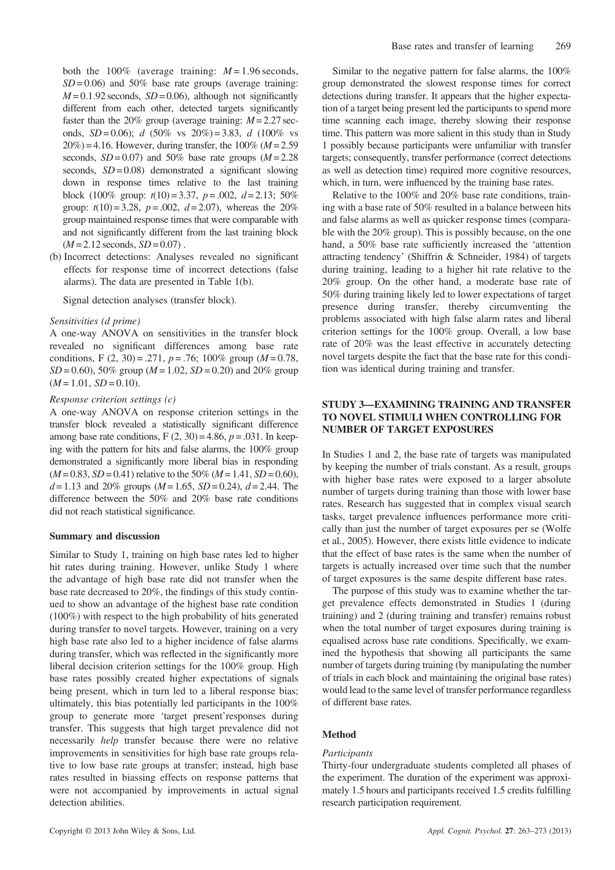both the 100% (average training:  $M = 1.96$  seconds,  $SD = 0.06$ ) and 50% base rate groups (average training:  $M = 0.1.92$  seconds,  $SD = 0.06$ ), although not significantly different from each other, detected targets significantly faster than the 20% group (average training:  $M = 2.27$  seconds,  $SD = 0.06$ ; d  $(50\% \text{ vs } 20\%) = 3.83$ , d  $(100\% \text{ vs } 20\%)$  $20\%$ ) = 4.16. However, during transfer, the 100% ( $M = 2.59$ ) seconds,  $SD = 0.07$ ) and 50% base rate groups  $(M = 2.28)$ seconds,  $SD = 0.08$ ) demonstrated a significant slowing down in response times relative to the last training block (100% group:  $t(10)=3.37$ ,  $p=.002$ ,  $d=2.13$ ; 50% group:  $t(10) = 3.28$ ,  $p = .002$ ,  $d = 2.07$ ), whereas the 20% group maintained response times that were comparable with and not significantly different from the last training block  $(M = 2.12$  seconds,  $SD = 0.07$ ).

(b) Incorrect detections: Analyses revealed no significant effects for response time of incorrect detections (false alarms). The data are presented in Table 1(b).

Signal detection analyses (transfer block).

#### Sensitivities (d prime)

A one-way ANOVA on sensitivities in the transfer block revealed no significant differences among base rate conditions, F  $(2, 30) = .271$ ,  $p = .76$ ; 100% group ( $M = 0.78$ ,  $SD = 0.60$ , 50% group ( $M = 1.02$ ,  $SD = 0.20$ ) and 20% group  $(M = 1.01, SD = 0.10).$ 

### Response criterion settings (c)

A one-way ANOVA on response criterion settings in the transfer block revealed a statistically significant difference among base rate conditions,  $F(2, 30) = 4.86$ ,  $p = .031$ . In keeping with the pattern for hits and false alarms, the 100% group demonstrated a significantly more liberal bias in responding  $(M = 0.83, SD = 0.41)$  relative to the 50%  $(M = 1.41, SD = 0.60)$ ,  $d = 1.13$  and 20% groups  $(M = 1.65, SD = 0.24), d = 2.44$ . The difference between the 50% and 20% base rate conditions did not reach statistical significance.

#### Summary and discussion

Similar to Study 1, training on high base rates led to higher hit rates during training. However, unlike Study 1 where the advantage of high base rate did not transfer when the base rate decreased to 20%, the findings of this study continued to show an advantage of the highest base rate condition (100%) with respect to the high probability of hits generated during transfer to novel targets. However, training on a very high base rate also led to a higher incidence of false alarms during transfer, which was reflected in the significantly more liberal decision criterion settings for the 100% group. High base rates possibly created higher expectations of signals being present, which in turn led to a liberal response bias; ultimately, this bias potentially led participants in the 100% group to generate more 'target present'responses during transfer. This suggests that high target prevalence did not necessarily help transfer because there were no relative improvements in sensitivities for high base rate groups relative to low base rate groups at transfer; instead, high base rates resulted in biassing effects on response patterns that were not accompanied by improvements in actual signal detection abilities.

Similar to the negative pattern for false alarms, the 100% group demonstrated the slowest response times for correct detections during transfer. It appears that the higher expectation of a target being present led the participants to spend more time scanning each image, thereby slowing their response time. This pattern was more salient in this study than in Study 1 possibly because participants were unfamiliar with transfer targets; consequently, transfer performance (correct detections as well as detection time) required more cognitive resources, which, in turn, were influenced by the training base rates.

Relative to the 100% and 20% base rate conditions, training with a base rate of 50% resulted in a balance between hits and false alarms as well as quicker response times (comparable with the 20% group). This is possibly because, on the one hand, a 50% base rate sufficiently increased the 'attention attracting tendency' (Shiffrin & Schneider, 1984) of targets during training, leading to a higher hit rate relative to the 20% group. On the other hand, a moderate base rate of 50% during training likely led to lower expectations of target presence during transfer, thereby circumventing the problems associated with high false alarm rates and liberal criterion settings for the 100% group. Overall, a low base rate of 20% was the least effective in accurately detecting novel targets despite the fact that the base rate for this condition was identical during training and transfer.

# STUDY 3—EXAMINING TRAINING AND TRANSFER TO NOVEL STIMULI WHEN CONTROLLING FOR NUMBER OF TARGET EXPOSURES

In Studies 1 and 2, the base rate of targets was manipulated by keeping the number of trials constant. As a result, groups with higher base rates were exposed to a larger absolute number of targets during training than those with lower base rates. Research has suggested that in complex visual search tasks, target prevalence influences performance more critically than just the number of target exposures per se (Wolfe et al., 2005). However, there exists little evidence to indicate that the effect of base rates is the same when the number of targets is actually increased over time such that the number of target exposures is the same despite different base rates.

The purpose of this study was to examine whether the target prevalence effects demonstrated in Studies 1 (during training) and 2 (during training and transfer) remains robust when the total number of target exposures during training is equalised across base rate conditions. Specifically, we examined the hypothesis that showing all participants the same number of targets during training (by manipulating the number of trials in each block and maintaining the original base rates) would lead to the same level of transfer performance regardless of different base rates.

### Method

### Participants

Thirty-four undergraduate students completed all phases of the experiment. The duration of the experiment was approximately 1.5 hours and participants received 1.5 credits fulfilling research participation requirement.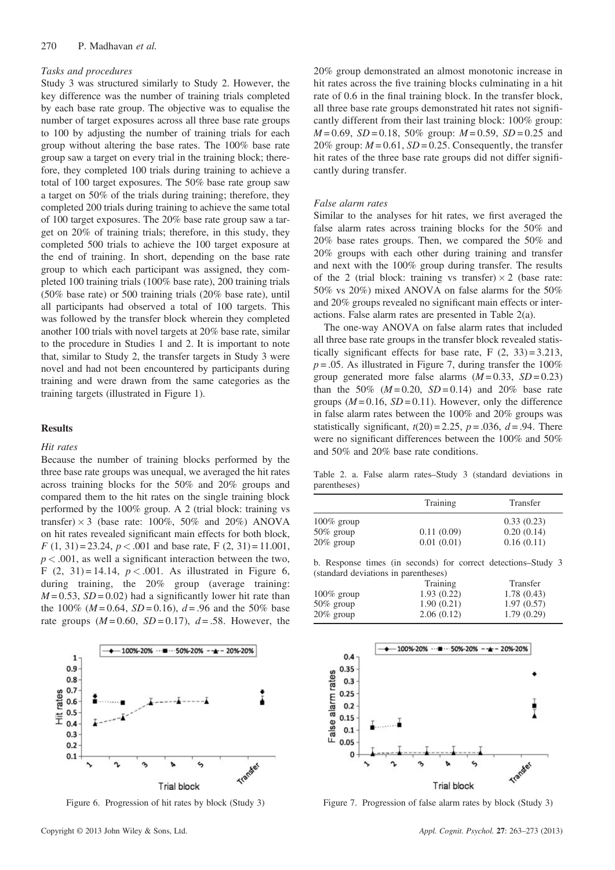#### Tasks and procedures

Study 3 was structured similarly to Study 2. However, the key difference was the number of training trials completed by each base rate group. The objective was to equalise the number of target exposures across all three base rate groups to 100 by adjusting the number of training trials for each group without altering the base rates. The 100% base rate group saw a target on every trial in the training block; therefore, they completed 100 trials during training to achieve a total of 100 target exposures. The 50% base rate group saw a target on 50% of the trials during training; therefore, they completed 200 trials during training to achieve the same total of 100 target exposures. The 20% base rate group saw a target on 20% of training trials; therefore, in this study, they completed 500 trials to achieve the 100 target exposure at the end of training. In short, depending on the base rate group to which each participant was assigned, they completed 100 training trials (100% base rate), 200 training trials (50% base rate) or 500 training trials (20% base rate), until all participants had observed a total of 100 targets. This was followed by the transfer block wherein they completed another 100 trials with novel targets at 20% base rate, similar to the procedure in Studies 1 and 2. It is important to note that, similar to Study 2, the transfer targets in Study 3 were novel and had not been encountered by participants during training and were drawn from the same categories as the training targets (illustrated in Figure 1).

#### Results

#### Hit rates

Because the number of training blocks performed by the three base rate groups was unequal, we averaged the hit rates across training blocks for the 50% and 20% groups and compared them to the hit rates on the single training block performed by the 100% group. A 2 (trial block: training vs transfer)  $\times$  3 (base rate: 100%, 50% and 20%) ANOVA on hit rates revealed significant main effects for both block,  $F(1, 31) = 23.24, p < .001$  and base rate,  $F(2, 31) = 11.001$ ,  $p < .001$ , as well a significant interaction between the two, F  $(2, 31) = 14.14$ ,  $p < .001$ . As illustrated in Figure 6, during training, the 20% group (average training:  $M = 0.53$ ,  $SD = 0.02$ ) had a significantly lower hit rate than the 100% ( $M = 0.64$ ,  $SD = 0.16$ ),  $d = .96$  and the 50% base rate groups  $(M=0.60, SD=0.17)$ ,  $d=.58$ . However, the



Figure 6. Progression of hit rates by block (Study 3)

20% group demonstrated an almost monotonic increase in hit rates across the five training blocks culminating in a hit rate of 0.6 in the final training block. In the transfer block, all three base rate groups demonstrated hit rates not significantly different from their last training block: 100% group:  $M = 0.69$ ,  $SD = 0.18$ , 50% group:  $M = 0.59$ ,  $SD = 0.25$  and 20% group:  $M = 0.61$ ,  $SD = 0.25$ . Consequently, the transfer hit rates of the three base rate groups did not differ significantly during transfer.

#### False alarm rates

Similar to the analyses for hit rates, we first averaged the false alarm rates across training blocks for the 50% and 20% base rates groups. Then, we compared the 50% and 20% groups with each other during training and transfer and next with the 100% group during transfer. The results of the 2 (trial block: training vs transfer)  $\times$  2 (base rate: 50% vs 20%) mixed ANOVA on false alarms for the 50% and 20% groups revealed no significant main effects or interactions. False alarm rates are presented in Table 2(a).

The one-way ANOVA on false alarm rates that included all three base rate groups in the transfer block revealed statistically significant effects for base rate,  $F(2, 33) = 3.213$ ,  $p = 0.05$ . As illustrated in Figure 7, during transfer the 100% group generated more false alarms  $(M=0.33, SD=0.23)$ than the 50%  $(M = 0.20, SD = 0.14)$  and 20% base rate groups  $(M=0.16, SD=0.11)$ . However, only the difference in false alarm rates between the 100% and 20% groups was statistically significant,  $t(20) = 2.25$ ,  $p = .036$ ,  $d = .94$ . There were no significant differences between the 100% and 50% and 50% and 20% base rate conditions.

Table 2. a. False alarm rates–Study 3 (standard deviations in parentheses)

|               | Training   | Transfer   |
|---------------|------------|------------|
| $100\%$ group |            | 0.33(0.23) |
| $50\%$ group  | 0.11(0.09) | 0.20(0.14) |
| $20\%$ group  | 0.01(0.01) | 0.16(0.11) |

b. Response times (in seconds) for correct detections–Study 3 (standard deviations in parentheses)

|               | Training   | Transfer   |
|---------------|------------|------------|
| $100\%$ group | 1.93(0.22) | 1.78(0.43) |
| $50\%$ group  | 1.90(0.21) | 1.97(0.57) |
| $20\%$ group  | 2.06(0.12) | 1.79(0.29) |



Figure 7. Progression of false alarm rates by block (Study 3)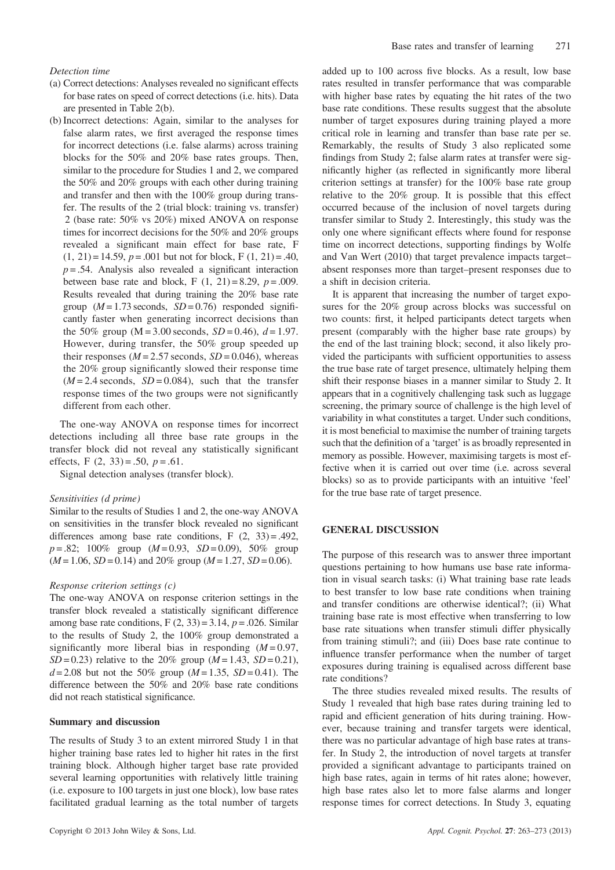#### Detection time

- (a) Correct detections: Analyses revealed no significant effects for base rates on speed of correct detections (i.e. hits). Data are presented in Table 2(b).
- (b) Incorrect detections: Again, similar to the analyses for false alarm rates, we first averaged the response times for incorrect detections (i.e. false alarms) across training blocks for the 50% and 20% base rates groups. Then, similar to the procedure for Studies 1 and 2, we compared the 50% and 20% groups with each other during training and transfer and then with the 100% group during transfer. The results of the 2 (trial block: training vs. transfer) 2 (base rate: 50% vs 20%) mixed ANOVA on response times for incorrect decisions for the 50% and 20% groups revealed a significant main effect for base rate, F  $(1, 21) = 14.59$ ,  $p = .001$  but not for block, F  $(1, 21) = .40$ ,  $p = .54$ . Analysis also revealed a significant interaction between base rate and block, F  $(1, 21) = 8.29$ ,  $p = .009$ . Results revealed that during training the 20% base rate group  $(M = 1.73$  seconds,  $SD = 0.76$ ) responded significantly faster when generating incorrect decisions than the 50% group (M = 3.00 seconds,  $SD = 0.46$ ),  $d = 1.97$ . However, during transfer, the 50% group speeded up their responses ( $M = 2.57$  seconds,  $SD = 0.046$ ), whereas the 20% group significantly slowed their response time  $(M = 2.4$  seconds,  $SD = 0.084$ ), such that the transfer response times of the two groups were not significantly different from each other.

The one-way ANOVA on response times for incorrect detections including all three base rate groups in the transfer block did not reveal any statistically significant effects, F  $(2, 33) = .50$ ,  $p = .61$ .

Signal detection analyses (transfer block).

#### Sensitivities (d prime)

Similar to the results of Studies 1 and 2, the one-way ANOVA on sensitivities in the transfer block revealed no significant differences among base rate conditions,  $F(2, 33) = .492$ ,  $p = .82$ ; 100% group  $(M = 0.93, SD = 0.09)$ , 50% group  $(M = 1.06, SD = 0.14)$  and 20% group  $(M = 1.27, SD = 0.06)$ .

#### Response criterion settings (c)

The one-way ANOVA on response criterion settings in the transfer block revealed a statistically significant difference among base rate conditions,  $F(2, 33) = 3.14$ ,  $p = .026$ . Similar to the results of Study 2, the 100% group demonstrated a significantly more liberal bias in responding  $(M = 0.97$ ,  $SD = 0.23$ ) relative to the 20% group  $(M = 1.43, SD = 0.21)$ ,  $d = 2.08$  but not the 50% group  $(M = 1.35, SD = 0.41)$ . The difference between the 50% and 20% base rate conditions did not reach statistical significance.

#### Summary and discussion

The results of Study 3 to an extent mirrored Study 1 in that higher training base rates led to higher hit rates in the first training block. Although higher target base rate provided several learning opportunities with relatively little training (i.e. exposure to 100 targets in just one block), low base rates facilitated gradual learning as the total number of targets added up to 100 across five blocks. As a result, low base rates resulted in transfer performance that was comparable with higher base rates by equating the hit rates of the two base rate conditions. These results suggest that the absolute number of target exposures during training played a more critical role in learning and transfer than base rate per se. Remarkably, the results of Study 3 also replicated some findings from Study 2; false alarm rates at transfer were significantly higher (as reflected in significantly more liberal criterion settings at transfer) for the 100% base rate group relative to the 20% group. It is possible that this effect occurred because of the inclusion of novel targets during transfer similar to Study 2. Interestingly, this study was the only one where significant effects where found for response time on incorrect detections, supporting findings by Wolfe and Van Wert (2010) that target prevalence impacts target– absent responses more than target–present responses due to a shift in decision criteria.

It is apparent that increasing the number of target exposures for the 20% group across blocks was successful on two counts: first, it helped participants detect targets when present (comparably with the higher base rate groups) by the end of the last training block; second, it also likely provided the participants with sufficient opportunities to assess the true base rate of target presence, ultimately helping them shift their response biases in a manner similar to Study 2. It appears that in a cognitively challenging task such as luggage screening, the primary source of challenge is the high level of variability in what constitutes a target. Under such conditions, it is most beneficial to maximise the number of training targets such that the definition of a 'target' is as broadly represented in memory as possible. However, maximising targets is most effective when it is carried out over time (i.e. across several blocks) so as to provide participants with an intuitive 'feel' for the true base rate of target presence.

#### GENERAL DISCUSSION

The purpose of this research was to answer three important questions pertaining to how humans use base rate information in visual search tasks: (i) What training base rate leads to best transfer to low base rate conditions when training and transfer conditions are otherwise identical?; (ii) What training base rate is most effective when transferring to low base rate situations when transfer stimuli differ physically from training stimuli?; and (iii) Does base rate continue to influence transfer performance when the number of target exposures during training is equalised across different base rate conditions?

The three studies revealed mixed results. The results of Study 1 revealed that high base rates during training led to rapid and efficient generation of hits during training. However, because training and transfer targets were identical, there was no particular advantage of high base rates at transfer. In Study 2, the introduction of novel targets at transfer provided a significant advantage to participants trained on high base rates, again in terms of hit rates alone; however, high base rates also let to more false alarms and longer response times for correct detections. In Study 3, equating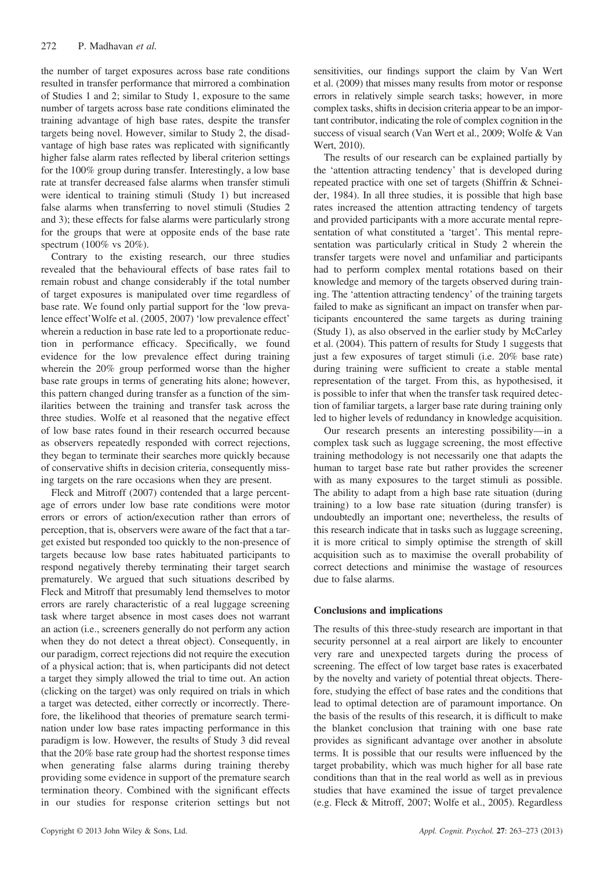the number of target exposures across base rate conditions resulted in transfer performance that mirrored a combination of Studies 1 and 2; similar to Study 1, exposure to the same number of targets across base rate conditions eliminated the training advantage of high base rates, despite the transfer targets being novel. However, similar to Study 2, the disadvantage of high base rates was replicated with significantly higher false alarm rates reflected by liberal criterion settings for the 100% group during transfer. Interestingly, a low base rate at transfer decreased false alarms when transfer stimuli were identical to training stimuli (Study 1) but increased false alarms when transferring to novel stimuli (Studies 2 and 3); these effects for false alarms were particularly strong for the groups that were at opposite ends of the base rate spectrum (100% vs 20%).

Contrary to the existing research, our three studies revealed that the behavioural effects of base rates fail to remain robust and change considerably if the total number of target exposures is manipulated over time regardless of base rate. We found only partial support for the 'low prevalence effect'Wolfe et al. (2005, 2007) 'low prevalence effect' wherein a reduction in base rate led to a proportionate reduction in performance efficacy. Specifically, we found evidence for the low prevalence effect during training wherein the 20% group performed worse than the higher base rate groups in terms of generating hits alone; however, this pattern changed during transfer as a function of the similarities between the training and transfer task across the three studies. Wolfe et al reasoned that the negative effect of low base rates found in their research occurred because as observers repeatedly responded with correct rejections, they began to terminate their searches more quickly because of conservative shifts in decision criteria, consequently missing targets on the rare occasions when they are present.

Fleck and Mitroff (2007) contended that a large percentage of errors under low base rate conditions were motor errors or errors of action/execution rather than errors of perception, that is, observers were aware of the fact that a target existed but responded too quickly to the non-presence of targets because low base rates habituated participants to respond negatively thereby terminating their target search prematurely. We argued that such situations described by Fleck and Mitroff that presumably lend themselves to motor errors are rarely characteristic of a real luggage screening task where target absence in most cases does not warrant an action (i.e., screeners generally do not perform any action when they do not detect a threat object). Consequently, in our paradigm, correct rejections did not require the execution of a physical action; that is, when participants did not detect a target they simply allowed the trial to time out. An action (clicking on the target) was only required on trials in which a target was detected, either correctly or incorrectly. Therefore, the likelihood that theories of premature search termination under low base rates impacting performance in this paradigm is low. However, the results of Study 3 did reveal that the 20% base rate group had the shortest response times when generating false alarms during training thereby providing some evidence in support of the premature search termination theory. Combined with the significant effects in our studies for response criterion settings but not sensitivities, our findings support the claim by Van Wert et al. (2009) that misses many results from motor or response errors in relatively simple search tasks; however, in more complex tasks, shifts in decision criteria appear to be an important contributor, indicating the role of complex cognition in the success of visual search (Van Wert et al., 2009; Wolfe & Van Wert, 2010).

The results of our research can be explained partially by the 'attention attracting tendency' that is developed during repeated practice with one set of targets (Shiffrin & Schneider, 1984). In all three studies, it is possible that high base rates increased the attention attracting tendency of targets and provided participants with a more accurate mental representation of what constituted a 'target'. This mental representation was particularly critical in Study 2 wherein the transfer targets were novel and unfamiliar and participants had to perform complex mental rotations based on their knowledge and memory of the targets observed during training. The 'attention attracting tendency' of the training targets failed to make as significant an impact on transfer when participants encountered the same targets as during training (Study 1), as also observed in the earlier study by McCarley et al. (2004). This pattern of results for Study 1 suggests that just a few exposures of target stimuli (i.e. 20% base rate) during training were sufficient to create a stable mental representation of the target. From this, as hypothesised, it is possible to infer that when the transfer task required detection of familiar targets, a larger base rate during training only led to higher levels of redundancy in knowledge acquisition.

Our research presents an interesting possibility—in a complex task such as luggage screening, the most effective training methodology is not necessarily one that adapts the human to target base rate but rather provides the screener with as many exposures to the target stimuli as possible. The ability to adapt from a high base rate situation (during training) to a low base rate situation (during transfer) is undoubtedly an important one; nevertheless, the results of this research indicate that in tasks such as luggage screening, it is more critical to simply optimise the strength of skill acquisition such as to maximise the overall probability of correct detections and minimise the wastage of resources due to false alarms.

# Conclusions and implications

The results of this three-study research are important in that security personnel at a real airport are likely to encounter very rare and unexpected targets during the process of screening. The effect of low target base rates is exacerbated by the novelty and variety of potential threat objects. Therefore, studying the effect of base rates and the conditions that lead to optimal detection are of paramount importance. On the basis of the results of this research, it is difficult to make the blanket conclusion that training with one base rate provides as significant advantage over another in absolute terms. It is possible that our results were influenced by the target probability, which was much higher for all base rate conditions than that in the real world as well as in previous studies that have examined the issue of target prevalence (e.g. Fleck & Mitroff, 2007; Wolfe et al., 2005). Regardless